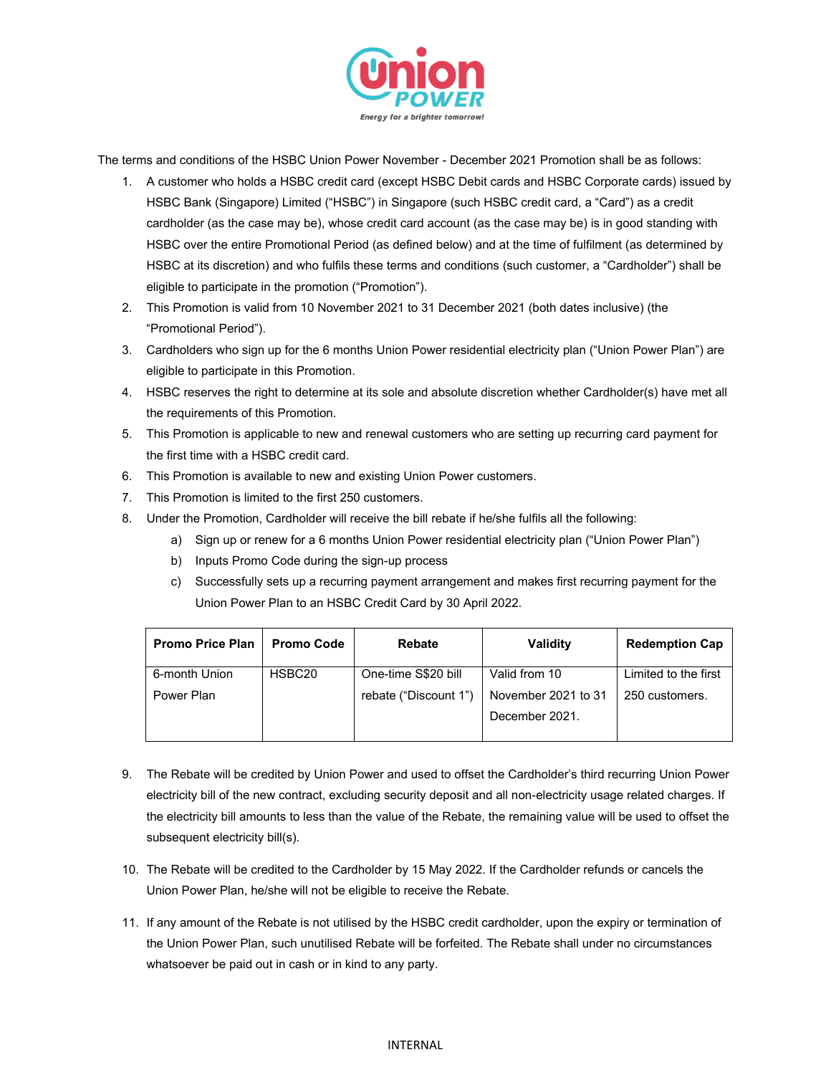

The terms and conditions of the HSBC Union Power November - December 2021 Promotion shall be as follows:

- 1. A customer who holds a HSBC credit card (except HSBC Debit cards and HSBC Corporate cards) issued by HSBC Bank (Singapore) Limited ("HSBC") in Singapore (such HSBC credit card, a "Card") as a credit cardholder (as the case may be), whose credit card account (as the case may be) is in good standing with HSBC over the entire Promotional Period (as defined below) and at the time of fulfilment (as determined by HSBC at its discretion) and who fulfils these terms and conditions (such customer, a "Cardholder") shall be eligible to participate in the promotion ("Promotion").
- 2. This Promotion is valid from 10 November 2021 to 31 December 2021 (both dates inclusive) (the "Promotional Period").
- 3. Cardholders who sign up for the 6 months Union Power residential electricity plan ("Union Power Plan") are eligible to participate in this Promotion.
- 4. HSBC reserves the right to determine at its sole and absolute discretion whether Cardholder(s) have met all the requirements of this Promotion.
- 5. This Promotion is applicable to new and renewal customers who are setting up recurring card payment for the first time with a HSBC credit card.
- 6. This Promotion is available to new and existing Union Power customers.
- 7. This Promotion is limited to the first 250 customers.
- 8. Under the Promotion, Cardholder will receive the bill rebate if he/she fulfils all the following:
	- a) Sign up or renew for a 6 months Union Power residential electricity plan ("Union Power Plan")
	- b) Inputs Promo Code during the sign-up process
	- c) Successfully sets up a recurring payment arrangement and makes first recurring payment for the Union Power Plan to an HSBC Credit Card by 30 April 2022.

| <b>Promo Price Plan</b> | <b>Promo Code</b>  | <b>Rebate</b>         | <b>Validity</b>     | <b>Redemption Cap</b> |
|-------------------------|--------------------|-----------------------|---------------------|-----------------------|
| 6-month Union           | HSBC <sub>20</sub> | One-time S\$20 bill   | Valid from 10       | Limited to the first  |
| Power Plan              |                    | rebate ("Discount 1") | November 2021 to 31 | 250 customers.        |
|                         |                    |                       | December 2021.      |                       |
|                         |                    |                       |                     |                       |

- 9. The Rebate will be credited by Union Power and used to offset the Cardholder's third recurring Union Power electricity bill of the new contract, excluding security deposit and all non-electricity usage related charges. If the electricity bill amounts to less than the value of the Rebate, the remaining value will be used to offset the subsequent electricity bill(s).
- 10. The Rebate will be credited to the Cardholder by 15 May 2022. If the Cardholder refunds or cancels the Union Power Plan, he/she will not be eligible to receive the Rebate.
- 11. If any amount of the Rebate is not utilised by the HSBC credit cardholder, upon the expiry or termination of the Union Power Plan, such unutilised Rebate will be forfeited. The Rebate shall under no circumstances whatsoever be paid out in cash or in kind to any party.